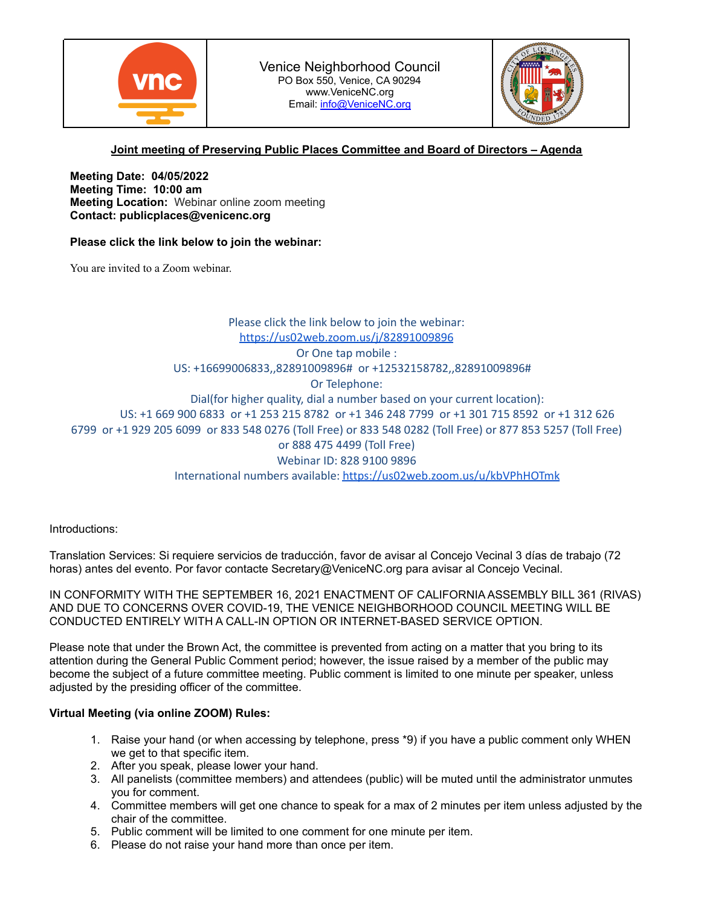



# **Joint meeting of Preserving Public Places Committee and Board of Directors – Agenda**

**Meeting Date: 04/05/2022 Meeting Time: 10:00 am Meeting Location:** Webinar online zoom meeting **Contact: publicplaces@venicenc.org**

## **Please click the link below to join the webinar:**

You are invited to a Zoom webinar.

Please click the link below to join the webinar: <https://us02web.zoom.us/j/82891009896> Or One tap mobile : US: +16699006833,,82891009896# or +12532158782,,82891009896# Or Telephone: Dial(for higher quality, dial a number based on your current location): US: +1 669 900 6833 or +1 253 215 8782 or +1 346 248 7799 or +1 301 715 8592 or +1 312 626 6799 or +1 929 205 6099 or 833 548 0276 (Toll Free) or 833 548 0282 (Toll Free) or 877 853 5257 (Toll Free) or 888 475 4499 (Toll Free) Webinar ID: 828 9100 9896 International numbers available: <https://us02web.zoom.us/u/kbVPhHOTmk>

Introductions:

Translation Services: Si requiere servicios de traducción, favor de avisar al Concejo Vecinal 3 días de trabajo (72 horas) antes del evento. Por favor contacte Secretary@VeniceNC.org para avisar al Concejo Vecinal.

IN CONFORMITY WITH THE SEPTEMBER 16, 2021 ENACTMENT OF CALIFORNIA ASSEMBLY BILL 361 (RIVAS) AND DUE TO CONCERNS OVER COVID-19, THE VENICE NEIGHBORHOOD COUNCIL MEETING WILL BE CONDUCTED ENTIRELY WITH A CALL-IN OPTION OR INTERNET-BASED SERVICE OPTION.

Please note that under the Brown Act, the committee is prevented from acting on a matter that you bring to its attention during the General Public Comment period; however, the issue raised by a member of the public may become the subject of a future committee meeting. Public comment is limited to one minute per speaker, unless adjusted by the presiding officer of the committee.

## **Virtual Meeting (via online ZOOM) Rules:**

- 1. Raise your hand (or when accessing by telephone, press \*9) if you have a public comment only WHEN we get to that specific item.
- 2. After you speak, please lower your hand.
- 3. All panelists (committee members) and attendees (public) will be muted until the administrator unmutes you for comment.
- 4. Committee members will get one chance to speak for a max of 2 minutes per item unless adjusted by the chair of the committee.
- 5. Public comment will be limited to one comment for one minute per item.
- 6. Please do not raise your hand more than once per item.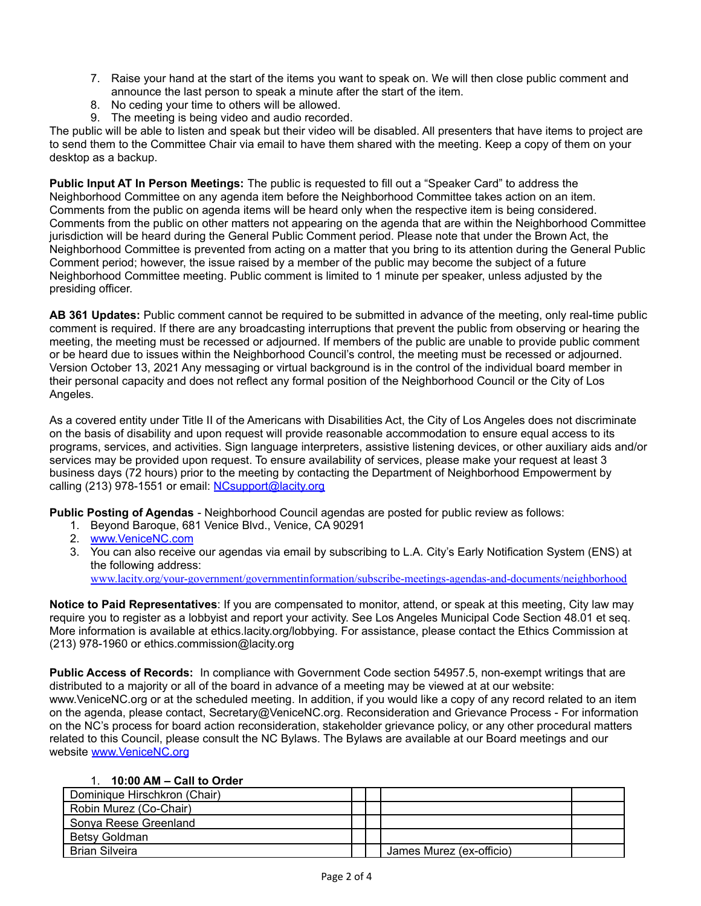- 7. Raise your hand at the start of the items you want to speak on. We will then close public comment and announce the last person to speak a minute after the start of the item.
- 8. No ceding your time to others will be allowed.
- 9. The meeting is being video and audio recorded.

The public will be able to listen and speak but their video will be disabled. All presenters that have items to project are to send them to the Committee Chair via email to have them shared with the meeting. Keep a copy of them on your desktop as a backup.

**Public Input AT In Person Meetings:** The public is requested to fill out a "Speaker Card" to address the Neighborhood Committee on any agenda item before the Neighborhood Committee takes action on an item. Comments from the public on agenda items will be heard only when the respective item is being considered. Comments from the public on other matters not appearing on the agenda that are within the Neighborhood Committee jurisdiction will be heard during the General Public Comment period. Please note that under the Brown Act, the Neighborhood Committee is prevented from acting on a matter that you bring to its attention during the General Public Comment period; however, the issue raised by a member of the public may become the subject of a future Neighborhood Committee meeting. Public comment is limited to 1 minute per speaker, unless adjusted by the presiding officer.

**AB 361 Updates:** Public comment cannot be required to be submitted in advance of the meeting, only real-time public comment is required. If there are any broadcasting interruptions that prevent the public from observing or hearing the meeting, the meeting must be recessed or adjourned. If members of the public are unable to provide public comment or be heard due to issues within the Neighborhood Council's control, the meeting must be recessed or adjourned. Version October 13, 2021 Any messaging or virtual background is in the control of the individual board member in their personal capacity and does not reflect any formal position of the Neighborhood Council or the City of Los Angeles.

As a covered entity under Title II of the Americans with Disabilities Act, the City of Los Angeles does not discriminate on the basis of disability and upon request will provide reasonable accommodation to ensure equal access to its programs, services, and activities. Sign language interpreters, assistive listening devices, or other auxiliary aids and/or services may be provided upon request. To ensure availability of services, please make your request at least 3 business days (72 hours) prior to the meeting by contacting the Department of Neighborhood Empowerment by calling (213) 978-1551 or email: [NCsupport@lacity.org](mailto:NCsupport@lacity.org)

**Public Posting of Agendas** - Neighborhood Council agendas are posted for public review as follows:

- 1. Beyond Baroque, 681 Venice Blvd., Venice, CA 90291
- 2. [www.VeniceNC.com](http://www.venicenc.com)
- 3. You can also receive our agendas via email by subscribing to L.A. City's Early Notification System (ENS) at the following address:

[www.lacity.org/your-government/governmentinformation/subscribe-meetings-agendas-and-documents/neighborhood](http://www.lacity.org/your-government/governmentinformation/subscribe-meetings-agendas-and-documents/neighborhood)

**Notice to Paid Representatives**: If you are compensated to monitor, attend, or speak at this meeting, City law may require you to register as a lobbyist and report your activity. See Los Angeles Municipal Code Section 48.01 et seq. More information is available at ethics.lacity.org/lobbying. For assistance, please contact the Ethics Commission at (213) 978-1960 or ethics.commission@lacity.org

**Public Access of Records:** In compliance with Government Code section 54957.5, non-exempt writings that are distributed to a majority or all of the board in advance of a meeting may be viewed at at our website: www.VeniceNC.org or at the scheduled meeting. In addition, if you would like a copy of any record related to an item on the agenda, please contact, Secretary@VeniceNC.org. Reconsideration and Grievance Process - For information on the NC's process for board action reconsideration, stakeholder grievance policy, or any other procedural matters related to this Council, please consult the NC Bylaws. The Bylaws are available at our Board meetings and our website [www.VeniceNC.org](http://www.venicenc.org)

# 1. **10:00 AM – Call to Order**

| Dominique Hirschkron (Chair) |  |                          |  |
|------------------------------|--|--------------------------|--|
| Robin Murez (Co-Chair)       |  |                          |  |
| Sonya Reese Greenland        |  |                          |  |
| Betsy Goldman                |  |                          |  |
| <b>Brian Silveira</b>        |  | James Murez (ex-officio) |  |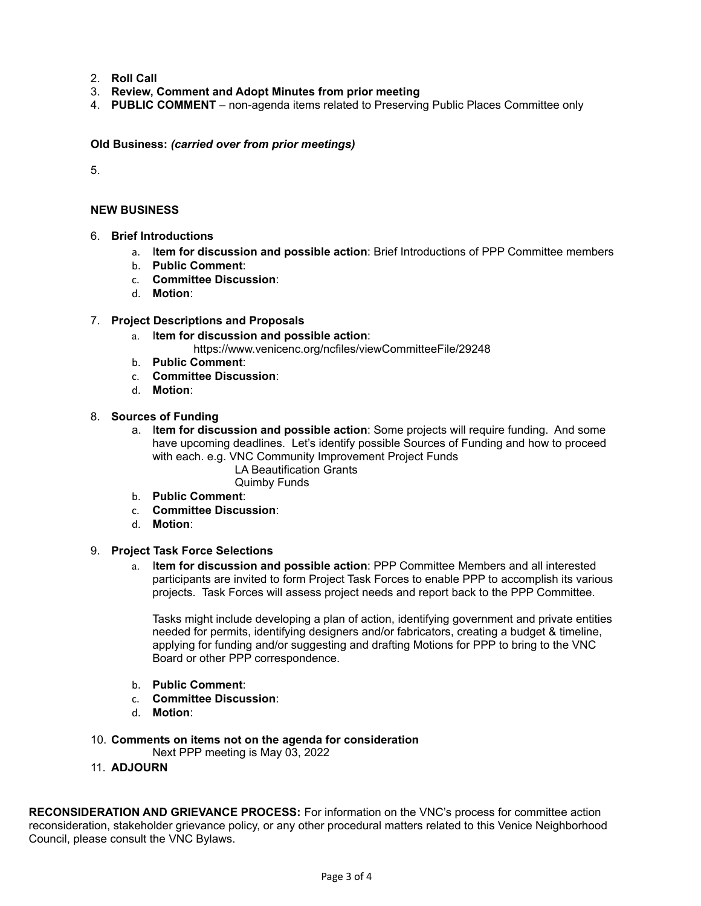- 2. **Roll Call**
- 3. **Review, Comment and Adopt Minutes from prior meeting**
- 4. **PUBLIC COMMENT** non-agenda items related to Preserving Public Places Committee only

**Old Business:** *(carried over from prior meetings)*

5.

#### **NEW BUSINESS**

- 6. **Brief Introductions**
	- a. I**tem for discussion and possible action**: Brief Introductions of PPP Committee members
	- b. **Public Comment**:
	- c. **Committee Discussion**:
	- d. **Motion**:

#### 7. **Project Descriptions and Proposals**

- a. I**tem for discussion and possible action**:
	- https://www.venicenc.org/ncfiles/viewCommitteeFile/29248
- b. **Public Comment**:
- c. **Committee Discussion**:
- d. **Motion**:

### 8. **Sources of Funding**

- a. I**tem for discussion and possible action**: Some projects will require funding. And some have upcoming deadlines. Let's identify possible Sources of Funding and how to proceed with each. e.g. VNC Community Improvement Project Funds LA Beautification Grants
	- Quimby Funds
- b. **Public Comment**:
- c. **Committee Discussion**:
- d. **Motion**:

### 9. **Project Task Force Selections**

a. I**tem for discussion and possible action**: PPP Committee Members and all interested participants are invited to form Project Task Forces to enable PPP to accomplish its various projects. Task Forces will assess project needs and report back to the PPP Committee.

Tasks might include developing a plan of action, identifying government and private entities needed for permits, identifying designers and/or fabricators, creating a budget & timeline, applying for funding and/or suggesting and drafting Motions for PPP to bring to the VNC Board or other PPP correspondence.

- b. **Public Comment**:
- c. **Committee Discussion**:
- d. **Motion**:
- 10. **Comments on items not on the agenda for consideration** Next PPP meeting is May 03, 2022
- 11. **ADJOURN**

**RECONSIDERATION AND GRIEVANCE PROCESS:** For information on the VNC's process for committee action reconsideration, stakeholder grievance policy, or any other procedural matters related to this Venice Neighborhood Council, please consult the VNC Bylaws.